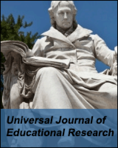**Universal Journal of Educational Research**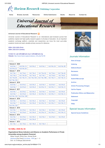

**[Home](http://www.hrpub.org/index.php) [Browse Journals](http://www.hrpub.org/journals/index.php) [Resources](http://www.hrpub.org/resources.php) [Online Submission](http://www.hrpub.org/submission.php) [Books](http://www.hrpub.org/books/index.php) [About Us](http://www.hrpub.org/about.php) [Contact Us](http://www.hrpub.org/contact.php)**

**Universal Journal of Educational Research** 

### **Universal Journal of Educational Research**

Universal Journal of Educational Research is an international peer-reviewed journal that publishes original and high-quality research papers in all areas of education. As an important academic exchange platform, scientists and researchers can know the most up-to-date academic trends and seek valuable primary sources for reference.

# ISSN: 2332-3205 (Print)

ISSN: 2332-3213 (Online)

Contact Us: ujer.editor@hrpub.org or editor@hrpub.org Website: [http://www.hrpub.org/journals/jour\\_info.php?id=95](http://www.hrpub.org/journals/jour_info.php?id=95)

### **Archive**

| <b>Volume 8 2020</b> |                     |                     |                     |                    |                    |
|----------------------|---------------------|---------------------|---------------------|--------------------|--------------------|
| <b>Vol.8 No.1</b>    | Vol.8 No.1A         | <b>Vol.8 No.2</b>   | <b>Vol.8 No.3</b>   | Vol.8 No.3A        | Vol.8 No.3B        |
| Vol.8 No.3C          | Vol.8 No.3D         |                     |                     |                    |                    |
| <b>Volume 7 2019</b> |                     |                     |                     |                    |                    |
| <b>Vol.7 No.1</b>    | <b>Vol.7 No.2</b>   | <b>Vol.7 No.3</b>   | Vol.7 No.3A         | <b>Vol.7 No.4</b>  | Vol.7 No.4A        |
| <b>Vol.7 No.5</b>    | Vol.7 No.5A         | <b>Vol.7 No.6</b>   | Vol.7 No.7          | <b>Vol.7 No.8</b>  | Vol.7 No.9         |
| Vol.7 No.9A          | <b>Vol.7 No.10</b>  | <b>Vol.7 No.10A</b> | <b>Vol.7 No.10B</b> | <b>Vol.7 No.11</b> | <b>Vol.7 No.12</b> |
| <b>Vol.7 No.12A</b>  |                     |                     |                     |                    |                    |
| <b>Volume 6 2018</b> |                     |                     |                     |                    |                    |
| <b>Vol.6 No.1</b>    | <b>Vol.6 No.2</b>   | <b>Vol.6 No.3</b>   | <b>Vol.6 No.4</b>   | <b>Vol.6 No.5</b>  | <b>Vol.6 No.6</b>  |
| <b>Vol.6 No.7</b>    | <b>Vol.6 No.8</b>   | <b>Vol.6 No.9</b>   | <b>Vol.6 No.10</b>  | <b>Vol.6 No.11</b> | <b>Vol.6 No.12</b> |
| <b>Volume 5 2017</b> |                     |                     |                     |                    |                    |
| <b>Vol.5 No.1</b>    | <b>Vol.5 No.2</b>   | <b>Vol.5 No.3</b>   | <b>Vol.5 No.4</b>   | <b>Vol.5 No.5</b>  | <b>Vol.5 No.6</b>  |
| <b>Vol.5 No.7</b>    | <b>Vol.5 No.8</b>   | <b>Vol.5 No.9</b>   | <b>Vol.5 No.10</b>  | <b>Vol.5 No.11</b> | <b>Vol.5 No.12</b> |
| <b>Vol.5 No.12A</b>  | <b>Vol.5 No.12B</b> |                     |                     |                    |                    |
| <b>Volume 4 2016</b> |                     |                     |                     |                    |                    |
| <b>Vol.4 No.1</b>    | <b>Vol.4 No.2</b>   | <b>Vol.4 No.3</b>   | <b>Vol.4 No.4</b>   | <b>Vol.4 No.5</b>  | <b>Vol.4 No.6</b>  |
| <b>Vol.4 No.7</b>    | <b>Vol.4 No.8</b>   | <b>Vol.4 No.9</b>   | <b>Vol.4 No.10</b>  | <b>Vol.4 No.11</b> | <b>Vol.4 No.12</b> |
| <b>Vol.4 No.12A</b>  |                     |                     |                     |                    |                    |
| <b>Volume 3 2015</b> |                     |                     |                     |                    |                    |
| <b>Vol.3 No.1</b>    | <b>Vol.3 No.2</b>   | <b>Vol.3 No.3</b>   | <b>Vol.3 No.4</b>   | <b>Vol.3 No.5</b>  | <b>Vol.3 No.6</b>  |
| <b>Vol.3 No.7</b>    | <b>Vol.3 No.8</b>   | <b>Vol.3 No.9</b>   | <b>Vol.3 No.10</b>  | <b>Vol.3 No.11</b> | <b>Vol.3 No.12</b> |
| <b>Volume 2 2014</b> |                     |                     |                     |                    |                    |
| <b>Vol.2 No.1</b>    | <b>Vol.2 No.2</b>   | <b>Vol.2 No.3</b>   | <b>Vol.2 No.4</b>   | <b>Vol.2 No.5</b>  | <b>Vol.2 No.6</b>  |
| <b>Vol.2 No.7</b>    | <b>Vol.2 No.8</b>   | <b>Vol.2 No.9</b>   |                     |                    |                    |
| Volume 1             | 2013                |                     |                     |                    |                    |
| <b>Vol.1 No.1</b>    | <b>Vol.1 No.2</b>   | <b>Vol.1 No.3</b>   | <b>Vol.1 No.4</b>   |                    |                    |

## **Vol 8(Mar, 2020) No 3A**

**Organizational Stress Indicators and Influence on Academic Performance in Private Universities among Academic Personnel**

Midya Yousefi, Rohini Devi, Ahmad Shuib [\[Abstract\]](http://www.hrpub.org/journals/article_info.php?aid=8944) [Full Text] [\[Full Article - PDF\]](http://www.hrpub.org/download/20200229/UJERA1-19591125.pdf) pp. 1 - 5 DOI: 10.13189/ujer.2020.081401



# Journals Information

### **[Aims & Scope](http://www.hrpub.org/journals/jour_info.php?id=95)**

| <b>Indexing</b>                           |
|-------------------------------------------|
| <b>Editorial Board</b>                    |
| <b>Reviewers</b>                          |
| <b>Guidelines</b>                         |
| <b>Submit Manuscript</b>                  |
| <b>Archive</b>                            |
| <b>Article Processing Charges</b>         |
| <b>Call for Papers</b>                    |
| <b>Publication Ethics and Malpractice</b> |
| <b>Statement</b>                          |
|                                           |
| <b>Copyright</b>                          |
| <b>FAQs</b>                               |

**[Special Issues Guidelines](http://www.hrpub.org/journals/joursp_guidelines.php?id=95)**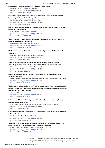| 3/31/2020                                                                                                                                                                                                                                                                                                       | HRPUB   Universal Journal of Educational Research                                      |
|-----------------------------------------------------------------------------------------------------------------------------------------------------------------------------------------------------------------------------------------------------------------------------------------------------------------|----------------------------------------------------------------------------------------|
| Development of Digital Instruction as a Guide in Wushu Training<br>Rusmono, Jarudin, Prajka Ibnu Khuzaimah<br>[Abstract] [Full Text] [Full Article - PDF] pp. 6 - 11                                                                                                                                            |                                                                                        |
| DOI: 10.13189/ujer.2020.081402                                                                                                                                                                                                                                                                                  |                                                                                        |
| Discovering Digital Technology Training Challenges for Future-Ready Educator: A<br><b>Preliminary Study from Trainer Perspective</b>                                                                                                                                                                            |                                                                                        |
| Farah Zeehan, Rose Alinda Alias, Zaidatun Tasir<br>[Abstract] [Full Text] [Full Article - PDF] pp. 12 - 23<br>DOI: 10.13189/ujer.2020.081403                                                                                                                                                                    |                                                                                        |
| How to Develop Blended Learning Educational Evaluation Courses Islamic Religious<br><b>Education Study Program</b><br>Ismail Marzuki, Zulfiati Syahrial, Rusmono<br>[Abstract] [Full Text] [Full Article - PDF] pp. 24 - 34                                                                                     |                                                                                        |
| DOI: 10.13189/ujer.2020.081404                                                                                                                                                                                                                                                                                  |                                                                                        |
| Testing the Validity and Reliability of Metaseller Tutoring Module for the Purpose of<br><b>Mathematics Learning Intervention</b><br>Mohamad Ariffin Abu Bakar, Norulhuda Ismail<br>[Abstract] [Full Text] [Full Article - PDF] pp. 35 - 41                                                                     |                                                                                        |
| DOI: 10.13189/ujer.2020.081405                                                                                                                                                                                                                                                                                  |                                                                                        |
| The Influence of Instructional Models and Learning Styles on the Ability to Read to<br><b>Understand</b>                                                                                                                                                                                                        |                                                                                        |
| Maimunah, Nurdin Ibrahim, Suyitno Muslim, Jarudin<br>[Abstract] [Full Text] [Full Article - PDF] pp. 42 - 47<br>DOI: 10.13189/ujer.2020.081406                                                                                                                                                                  |                                                                                        |
| Appraisal of the Relevance of Polytechnic Higher National Diploma Building<br>Technology Curriculum for Effective Occupational Skills Acquisition in Nigeria<br>Musa Ali Jogana, Talatu Musa Garba, Nasiru Mukhtar<br>[Abstract] [Full Text] [Full Article - PDF] pp. 48 - 59<br>DOI: 10.13189/ujer.2020.081407 |                                                                                        |
| Developing Lean Manufacturing Based Learning Model to Improve Work Skills of                                                                                                                                                                                                                                    |                                                                                        |
| <b>Vocational Students</b><br>[Abstract] [Full Text] [Full Article - PDF] pp. 60 - 64<br>DOI: 10.13189/ujer.2020.081408                                                                                                                                                                                         | Suryo Hartanto, Zaenal Arifin, Sri Langgeng Ratnasari, Rizky Ema Wulansari, Asrul Huda |
| The Relationship between Students, Attitudes toward Lecturer Teaching Methods and                                                                                                                                                                                                                               | Learning Environment with Achievement Motivation (Descriptive Study of Management      |
| <b>Students of STIE Dharma Agung)</b><br>Yeni Susilowati                                                                                                                                                                                                                                                        |                                                                                        |
| [Abstract] [Full Text] [Full Article - PDF] pp. 65 - 71<br>DOI: 10.13189/ujer.2020.081409                                                                                                                                                                                                                       |                                                                                        |
| Relationship of Emotional Intelligence and Academic Performance among Medical                                                                                                                                                                                                                                   |                                                                                        |
| <b>Students: Systematic Review</b><br>Ivan Rolland Karkada, Urban John Arnold D'souza, Zainal Arifin bin Mustapha<br>[Abstract] [Full Text] [Full Article - PDF] pp. 72 - 79<br>DOI: 10.13189/ujer.2020.081410                                                                                                  |                                                                                        |
|                                                                                                                                                                                                                                                                                                                 | Correlation on Students Commitment and Satisfaction in Sekolah Tinggi Ilmu Ekonomi     |
| Galileo Batam Indonesia<br>Hazriyanto, Amir Daus, Badaruddin Ibrahim                                                                                                                                                                                                                                            |                                                                                        |
| [Abstract] [Full Text] [Full Article - PDF] pp. 80 - 84<br>DOI: 10.13189/ujer.2020.081411                                                                                                                                                                                                                       |                                                                                        |
| The Influence of High Academic Achievers' Social Media Usage and Types of Social                                                                                                                                                                                                                                |                                                                                        |
| Media Content on Students' Learning: A Conceptual Framework<br>Norlaile Salleh Hudin, Noraine Salleh Hudin, Nor Azah Abdul Aziz                                                                                                                                                                                 |                                                                                        |
| [Abstract] [Full Text] [Full Article - PDF] pp. 85 - 90                                                                                                                                                                                                                                                         |                                                                                        |
| DOI: 10.13189/ujer.2020.081412                                                                                                                                                                                                                                                                                  |                                                                                        |

[Home](http://www.hrpub.org/index.php) | [Journals](http://www.hrpub.org/journals/journal_subject.php) | [Resources](http://www.hrpub.org/resources.php) | [Online Submission](http://www.hrpub.org/submission.php) | [Books](http://www.hrpub.org//books/bookinfo.php) | [About Us](http://www.hrpub.org/about.php) | [Contact Us](http://www.hrpub.org/contact.php) Copyright © 2013-2020 Horizon Research Publishing. All rights reserved.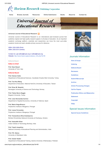

|  | ۹ |  |
|--|---|--|

**[Home](http://www.hrpub.org/index.php) [Browse Journals](http://www.hrpub.org/journals/index.php) [Resources](http://www.hrpub.org/resources.php) [Online Submission](http://www.hrpub.org/submission.php) [Books](http://www.hrpub.org/books/index.php) [About Us](http://www.hrpub.org/about.php) [Contact Us](http://www.hrpub.org/contact.php)**

# **Universal Journal of Educational Research**

### **Universal Journal of Educational Research**

Universal Journal of Educational Research is an international peer-reviewed journal that publishes original and high-quality research papers in all areas of education. As an important academic exchange platform, scientists and researchers can know the most up-to-date academic trends and seek valuable primary sources for reference.

### ISSN: 2332-3205 (Print) ISSN: 2332-3213 (Online)

Contact Us: ujer.editor@hrpub.org or editor@hrpub.org Website: [http://www.hrpub.org/journals/jour\\_info.php?id=95](http://www.hrpub.org/journals/jour_info.php?id=95)

**Editorial Board**

### **Editor-in-Chief**

**Prof. Sara Nosari** University of Turin, Italy

### **Editorial Board**

**Prof. Osman Cekic** Department of Educational Sciences, Canakkale Onsekiz Mart University, Turkey

**Prof. Tzu-Hua Wang** Department of Education, National HsinChu University of Education, Taiwan

**Prof. Einar M. Skaalvik** Norwegian University of Science and Technology, Norway

**Prof. Fatma Nevra Seggie** Bogazici University, Turkey

**Prof. Jose Hernandez-Carrion** Department of Applied Economics, University of Valencia, Spain

**Prof. Maria Veiga-Branco** Polytechnic Institute of Brqganco, Portugal

**Prof. Joana Fernandes** Polytechnic Institute of Bragança, Portugal

**Prof. Tarasenkova Nina Anatolyevna** Bohdan Khmelnitsky National University at Cherkassy, Ukraine

**Prof. Azizuddin Khan** Indian Institute of Technology Bombay, India

**Prof. Yazali Josephine** National University of Educational Planning and Administration, India

**Prof. P.K. Sahoo** University of Allahabad, India

**Prof. Zubair Haider** Department of Educational Training, Islamia University of Bahawalpur, Pakistan



# Journals Information

**[Aims & Scope](http://www.hrpub.org/journals/jour_info.php?id=95)**

**[Indexing](http://www.hrpub.org/journals/jour_index.php?id=95)**

**[Editorial Board](http://www.hrpub.org/journals/jour_editorialboard.php?id=95)**

**[Reviewers](http://www.hrpub.org/journals/jour_reviewers.php?id=95)**

**[Guidelines](http://www.hrpub.org/journals/jour_guidelines.php?id=95)**

**[Submit Manuscript](http://www.hrpub.org/journals/jour_submitmanuscript.php?id=95)**

**[Archive](http://www.hrpub.org/journals/jour_archive.php?id=95)**

**[Article Processing Charges](http://www.hrpub.org/journals/jour_charge.php?id=95)**

**[Call for Papers](http://www.hrpub.org/journals/jour_callforpaper.php?id=95)**

**[Publication Ethics and Malpractice](http://www.hrpub.org/journals/jour_ethicsstate.php?id=95)**

**Statement**

**[Copyright](http://www.hrpub.org/journals/jour_copyright.php?id=95)**

**[FAQs](http://www.hrpub.org/journals/jour_faq.php?id=95)**

# Special Issues Information

**[Special Issues Guidelines](http://www.hrpub.org/journals/joursp_guidelines.php?id=95)**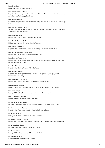| ∠∪⊻                                                                                                                                                                      | HRPUB   Universal Journal of Educational |
|--------------------------------------------------------------------------------------------------------------------------------------------------------------------------|------------------------------------------|
| <b>Prof. Chhavi Lal</b><br>Dayalbagh Educational Institute, India                                                                                                        |                                          |
| <b>Prof. Md Momtazur Rahman</b><br>Department of Languages, College of Arts and Sciences, International University of Business<br>Agriculture and Technology, Bangladesh |                                          |
| Prof. Rajeev Bairathi<br>Rajasthan College of Agriculture, Maharana Pratap University of Agriculture and Technology,<br>India                                            |                                          |
| Prof. Birhanu Moges Alemu<br>School of Educational Science and Technology of Teachers Education, Adama Science and<br>Technology University, Ethiopia                    |                                          |
| Prof. Ashiquddin Maruf<br>Department of Law, Northern University, Bangladesh                                                                                             |                                          |
| Prof. Aziz Ur Rehman Saifee<br>Mohammad Ali Jinnah University, Karachi, Pakistan                                                                                         |                                          |
| <b>Prof. Savita Srivastava</b><br>Department of Foundation of Education, Dayalbagh Educational Institute, India                                                          |                                          |
| Prof. Mohammad Reza Yousefzadeh<br>Department of Humanities, Buali Sina University, Iran                                                                                 |                                          |
| Prof. Subbian Rajalakshmi<br>Department of Home Science Extension Education, Institute for Home Science and Higher<br>Education for Women, India                         |                                          |
| Prof. Shu-Chin Su<br>Department of English, Aletheia University, Taiwan                                                                                                  |                                          |
| Prof. Marina De Rossi<br>Department of Philosophy, Sociology, Education and Applied Psychology (FISPPA),<br>University of Padua, Italy                                   |                                          |
| Prof. Kathy Peckham-hardin<br>Department of Special Education, California State University, USA                                                                          |                                          |
| Prof. Jacques Abraham<br>Institute of Sciences, Technologies and Advanced Studies of Haiti (ISTEAH), Haiti                                                               |                                          |
| Prof. Indra Odina<br>Faculty of Education, Psychology and Art, University of Latvia, Latvia                                                                              |                                          |
| Prof. Guilherme S. Marcom<br>São Paulo State Department of Education, Brazil                                                                                             |                                          |
| Dr. Janaina Minelli De Oliveira<br>Faculty of Educational Sciences and Psychology, Rovira i Virgili University, Spain                                                    |                                          |
| Dr. Francisco Javier Ramos<br>Department of Teaching, University of Castilla-La Mancha, Spain                                                                            |                                          |
| Dr. Hala Al-Yamani<br>Faculty of Education, Bethlehem University, Palestine                                                                                              |                                          |
| Dr. Serafina Manuela Pastore<br>Department of Education, Psychology, Communication, University of Bari Aldo Moro, Italy                                                  |                                          |
| Dr. Rebeca Soler Costa<br>Faculty of Education, University of Zaragoza, Spain                                                                                            |                                          |
| Dr. Darren Pullen<br>Faculty of Education, University of Tasmania, Australia                                                                                             |                                          |

**Dr. Muhammad Javed** Islamia University of Bahawalpur, Pakistan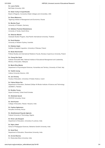| Dr. Laura Clarke<br><b>Ball State University, USA</b>                                                                                           |
|-------------------------------------------------------------------------------------------------------------------------------------------------|
| Dr. Sister Corby A Coperthwaite<br>Board of Regents, Connecticut State Colleges and Universities, USA                                           |
| Dr. Elena Makarova<br>Taganrog Institute of Management and Economics, Russia                                                                    |
| Dr. Monika Floyd<br>University of Potsdam, Germany                                                                                              |
| Dr. Ndileleni Paulinah Mudzielwana<br>University of Venda, South Africa                                                                         |
| Dr. Oktavian Mantiri<br>Graduate Studies Program, Asia-Pacific International University, Thailand                                               |
| Dr. David Newlyn<br>University of Western Sydney, Australia                                                                                     |
| Dr. Elzbieta Gajek<br>Institute of Applied Linguistics, University of Warsaw, Poland                                                            |
| Dr. Beata Stachowiak<br>Political Studies and International Relations Faculty, Nicolaus Copernicus University, Poland                           |
| Dr. Cheng Sim Quah<br>Institute Aminuddin Baki, National Institute of Educational Management and Leadership,<br>Ministry of Education, Malaysia |
| Dr. Maria Elisa Maiolo<br>Department of Psychological Sciences, Humanities and Territory, University of Chieti, Italy                           |
| Dr. Taekhil Jeong<br>Indiana University Kokomo, USA                                                                                             |
| Dr. Jan Chromy<br>Faculty of Education, University of Hradec Kralove, Czech                                                                     |
| Dr. Fatima Rehan Dar<br>Department of Education, Shaheed Zulfiqar Ali Bhutto Institute of Science and Technology<br>(SZABIST), Pakistan         |
| Dr. Bradley Young<br>Zayed University, United Arab Emirates                                                                                     |
| Dr. Abdulaziz Ayoub<br><b>DHOFAR University, Oman</b>                                                                                           |
| Dr. Amit Kumar<br>College of Education, Rewari, Haryana, India                                                                                  |
| Dr. Cephas Agbemenu<br>Kenyatta University, Kenya                                                                                               |
| Dr. Abdulhameed Kayode Agboola<br>Federal University of Technology, Nigeria                                                                     |
| Dr. Kiran Lata Dangwal<br>Department of Education, University of Lucknow, India                                                                 |
| Dr. Sajna Jaleel<br>School of Pedagogical Sciences, Mahatma Gandhi University, India                                                            |

**Dr. Sarat Rout** Department of Education, Ravenshaw University, India

**Dr. Arvind Sharma** Dr. Shakuntala Misra University, India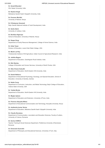| Dr. Sonali Bhandari<br>Shiv Nadar University, India                                                                                                |
|----------------------------------------------------------------------------------------------------------------------------------------------------|
| Dr. Rashmi Singh<br>Mahatama Gandhi Kashi Vidyapith University, India                                                                              |
| Dr. Evanson Muriithi<br>University of Nairobi, Kenya                                                                                               |
| Dr. R.Subasree Vanamali<br>Rajiv Gandhi National Institute of Youth Development, India                                                             |
| Dr. Sarita Sahni<br>University of Jodhpur, India                                                                                                   |
| Dr. Boniface Ngaruiya<br>School of Education, University of Nairobi, Kenya                                                                         |
| Dr. Deepa Vinay<br>Department of Family Resource Management, College of Home Science, India                                                        |
| Dr. Holly Tower<br>Division of Education, Lewis-Clark State College, USA                                                                           |
| Dr. Manik Lal Roy<br>Vivekananda Institute of Hill Agriculture, Indian Council of Agricultural Research, India                                     |
| Dr. Jahitha Begum<br>Department of Education, Gandhigram Rural Institute, India                                                                    |
| Dr. Nile Stanley<br>College of Education and Human Services, University of North Florida, USA                                                      |
| Dr. Siba Charan Subudhi<br>Department of Education, North-Eastern Hill University, India                                                           |
| Dr. Daniel Ndhlovu<br>Department of Educational Psychology, Sociology, and Special Education, School of<br>Education, University of Zambia, Zambia |
| Dr. Noble Corey<br>Department of Curriculum, Instruction, and Media Technology, Bayh College of Education,<br>Indiana State University, USA        |
| Dr. Yodida Bhutia<br>Department of Education, North-Eastern Hill University, India                                                                 |
| Dr. Megha Uplane<br>Department of Education and Extension, University of Pune, India                                                               |
| Dr. Florence Abuyeka Miima<br>Department of Educational Communication and Technology, Kenyatta University, Kenya                                   |
| Dr. shailendra kumar Verma<br>Department of Education, Mahatma Gandhi Kashi Vidyapith University, India                                            |
| Dr. Claudiu Bunaiasu<br>Department of Communication, Journalism and Education Sciences, Faculty of Letters,<br>University of Craiova, Romania      |
| <b>Dr. Sorina CHIRCU</b><br>Teacher Training & Social Sciences Department, Politehnica University of Bucharest,<br>Romania                         |
| Dr. Emanuela Guarcello<br>Department of Philosophy and Educational Sciences, University of Turin, Italy                                            |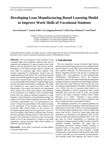# **Developing Lean Manufacturing Based Learning Model to Improve Work Skills of Vocational Students**

**Suryo Hartanto1,\*, Zaenal Arifin<sup>2</sup> , Sri Langgeng Ratnasari<sup>3</sup> , Rizky Ema Wulansari<sup>4</sup> , Asrul Huda<sup>4</sup>**

<sup>1</sup>Faculty of Teacher and Training, Universitas Riau Kepulauan, Indonesia Faculty of Engineering, Universitas Riau Kepulauan, Indonesia Faculty of Economics, Universitas Riau Kepulauan, Indonesia Faculty of Engineering, Universitas Negeri Padang, Indonesia

*Received October 24, 2019; Revised January 21, 2020; Accepted February 25, 2020*

Copyright©2020 by authors, all rights reserved. Authors agree that this article remains permanently open access under the terms of the Creative Commons Attribution License 4.0 International License

**Abstract** The low absorption of the workforce in the vocational high school graduates indicates their lack of expertise and competency. It urges to improve their work skills to meet the demand of work. This research aims at developing a Lean-based learning model to enhance the work skills of vocational high school students. This research categorized as development research uses the modified Borg and Gall method. The Lean-based learning model was tested through three stages, namely its validity, effectiveness and practicality. Respondents of the research are vocational high school students, vocational high school teachers and industry practitioners in Indonesia. The model was validated by some experts and FGD results. The effectiveness of the model was tested by an experimental with a posttest only control group design. The population of the experiment was students of the Vocational High School who were doing an industrial experience in some industries, which followed a work shadowing strategy, the sample is chosen by random sampling; data were collected to develop a performance test. Two questionnaires were used to evaluate the practicability of the model according to the perceptions of the teachers and students of the Vocational High School. Based on the research, the developed learning model can be categorized as "good" in case of its validity, effectiveness, and practicality. It means that the lean-based learning model is valid, effective and practical. The conclusion of research is that lean learning model is one of the alternatives to improve work skills competency among vocational high school students to fulfill the industrial demand.

**Keywords** Work Skills, Lean-based Learning Model, Vocational High School

# **1. Introduction**

The low competency among vocational high students indicates that the learning process has not comprehensively met the aspects of work skills and it makes the graduates lack expertise. Basically, the learning process must be directly integrated with the work process to facilitate the students with a real experience of work setting,(Lubis, 2010)(Palmer, 2007)(Hartanto, 2017). The students' competency skills can be enhanced through the appropriate learning strategies to equip them with knowledge, attitudes, skills and work values which are needed in the real work environment, (Habanabakize & Pardjono, 2018), (Hartanto et al., 2019). The role of vocational high schools is to prepare individuals to achieve competency skills, sustain individual lives, face the world of work, and develop careers in the future, (Calhoun, Calfrey.C;Finch, 1982), (Hartanto et al., 2019). Therefore, it must produce graduates who are ready to work, smart, competitive and have a strong character as professional workers.

The inadequate competency of vocational graduates can be seen from the labor absorption within the national scale (Indonesia) in which only 10.87% of vocational graduates. It is lower than other education levels, such as a public high school with 20.52%, 18.16% for junior high school and dominated by elementary level graduates with 42.23% based on Indonesian Statistical Database, BPS. 2107. This gap must be solved immediately by enhancing the competency among vocational students in order to meet the industrial standard. Therefore, this study aims at developing lean-based learning models referring to industrial needs. In this model, the learning process is integrated with the world of work to present a bridge connecting the school education and the professional work in order to provide real work experience among students. The learning system that integrates the world of work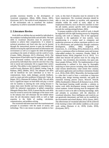provides enormous benefits in the development of vocational competence, (Blum, 2008), (Sousa, 2001), (Estriyanto, 2017). The world of work integration is a form of the environment role to transform the students' competency to achieve sustainable development.

# **2. Literature Review**

Work skills are abilities that are needed by individuals in the workplace including hard skills and soft skills. The hard skills in vocational education must be possessed by students to achieve their competencies. It is related to technical procedures and fixed rules that can be learned through the instructional process to gain the intellectual abilities in facing the rapid advancement of information and environment as well as to support the skills development according to the needs of industry and the world of work, (Coates, 2006), (Hartanto, 2017), (Pritchard, 2013). The improvement of hard skills must be supported by soft skills to be all-around workers. The soft skills are abilities possessed by individuals that cannot be seen but it has a big role in social and community life to support their careers and jobs. This ability is also required by companies or the world of work, (Hartanto, 2017), (Majid, Liming, Tong, & Raihana, 2002), (Robles, 2012). The adequate soft skills will be beneficial for each individual as to how to communicate, listen, make dialogue, provide feedback, work in a team and solve problems, (Chaturvedi, Yadav, & Bajpai, 2011), (Hartanto & Fordiana, 2018). The soft skills have a significant impact on hard skills and play a crucial role for students in entering the work setting because it makes them more flexible and have positive thinking to fulfill the industrial expectations in global competition (Mangala Ethaiya Rani, 2010). It means that the work skills must be owned to answer the challenges of the future work in the industry that will eliminate the low-skilled labors since the job description require skills as well as high expertise in the fields of reading, calculation, communication, and problem-solving.

The vocational education must have the transformational principle in accordance with the needs of society and technology. This is one means to prepare students to face work, so this kind of education must be oriented to the future requirement. The vocational education should be able to train the students to socialize with appropriate attitudes within the world of work, adjust to the employment behavior, have an effective transition to enter the job market, possess specific skills and knowledge towards the working setting,(Furham, 2005).

To prepare students to face the world of work, it should be supported with the right learning process by integrating learning with work or industry. One of the appropriate principles is the application of lean systems. Lean manufacturing is a system used in companies and production processes to achieve maximum profits in case of its effectiveness and productivity through continuous development, (Dillon, 1985) (Fagerlind .S, Gustavsson, .K, .J, & Ekberg, 2015), (Hartanto et al., 2019). Lean is a continuous effort to eliminate waste and increase value-added products for customers, (Sundar, Balaji, & Satheesh Kumar, 2014), (Fagerlind .S et al., 2015). It is called lean because the process must be run using less material, less investment, less inventory, less space and, fewer people (Wilson, 2010). The implementation of lean manufacturing is outlined in five steps by thoroughly analyzing an entire process including value identification, value streams identification, value stream flow creation, pull system application and excellence orientation (Sundar et al., 2014), (Feld, 2001). Meanwhile, the learning model is a plan that is used to form a curriculum or long-term learning plan, design learning materials, and guide the classroom learning process (Joyce, Bruce.R; Weil.M, 2009), (Syahmaidi.E, Hidayat.H, & Hartanto.S.at.al, 2019). The lean-based learning model provides a solution to realize work skills development among vocational high school students. School learning must be integrated with the world of work to be able to develop knowledge, skills and attitudes in accordance with the objectives of vocational education. Since intelligence and creativity are not genetically determined, and both can be modified by the environment and school (Rukun, 2015), (Sousa, 2001). The effectiveness of vocational education will be achieved if the learning is done with similar condition as the actual work setting (Hartanto et al., 2019), (Lubis, 2010), (Estriyanto, 2017).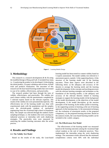

**Figure 1**. Learning Models Design

# **3. Methodology**

This research is a research development  $(R & D)$  using the modified design of Borg and Gall. It included four steps, i.e. 1) analyzing the product to be developed, 2) developing the initial product, 3) expert validation and revision, 4) field trials and products finalization. The outcomes of this research are the lean-based learning models that were tested in case of its validity, effectiveness, and practicality.

The research product had been through the tests of validity, effectiveness, and practicality. The validity test used content validity with the questionnaire completed by 5 selected experts based on the relevant expertise. The results of the validity test were presented descriptively. The effectiveness test of the learning model was done with experimental study with the populations and the samples were the eleventh-grade students of mechanical engineering from the vocational high school in Kepulauan Riau. The sample was selected through the random cluster sampling technique, i.e. the students who were carrying out industrial practices or internship with work shadowing strategies. The practicality tests were measured by analyzing the student learning outcomes after the action process.

# **4. Results and Findings**

### **4.1. The Validity Test Model**

Based on the results of the study, the Lean-based

learning model has been tested its content validity based on 5 experts assessment. The model validity test referred to 3 assessment aspects, namely: 1) the supporting theory, 2) the structure of the learning model and 3) the learning outcomes. Those three aspects were described in the following items: a) the adequacy and accuracy of the theories to arrange the learning needs and the learning model development, b) the concepts and teaching processes with the relevant learning strategies and techniques as the foundation of the learning models, c) the adequacy and accuracy of the relevant theories related to learning strategies to support the learning model, d) the background of the model development, e) the objectives of the model development, f) the model description, g) the reaction principles of the learning, h) the media system in learning, i). the supporting systems in learning, j) the use of learning approach, k) the learning steps, l). the assessment technique, m). the evaluation of assessment results, n) the proposed competency, o). the proposed learning outcomes. Based on the analysis results, the Lean-based learning models can be included in the «valid» category.

### **4.2. The Effectiveness Test Model**

The effectiveness of the learning model was measured based on the learning outcomes among the vocational high school students at the end of industrial practices. They implemented the internship using the work shadowing strategy. The assessment results showed that the minimum completeness criteria were 60% with the individual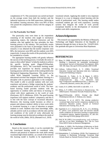completeness of 75. This assessment was carried out based on the average scores from both the teachers and the industrial instructors as the field supervisors. Referring to the students' learning outcomes, there were 80% of them who passed the completeness criteria with the category of «Good».

### **4.3. The Practicality Test Model**

The practicality tests were done to the respondents consisting of the teachers who taught in mechanical engineering majors, the industrial instructors and the students who had applied the lean principles for their learning process in the industry. The practicality results were presented in the form of percentages. Based on the research, it was obtained that the teacher responses were 86%, the instructors were 80% and the students were 84% respectively. It means the results of the practicality test can be considered as «Good».

The appropriate learning models will greatly influence the success of the teaching process. It includes the series of steps or often called "phases" to help the students to achieve the specific learning goals (Eggen.P;D.Kauchak, 2012)(Hartanto, 2017). The Lean-based learning model provides real experience by directly connecting the learning process with the experts of the working field in the Mechanical Engineering Department. This model can be called Work Integrated Learning (WIL), i.e. the educational activities that integrate academic learning of a discipline with its practical application in the workplace. This model is able to provide students with real work experience and present a bridge connecting the students' academic and the professional world of work. The leanbased learning model provides students with the opportunity to combine skills and theory of learning in school with direct application in the world of work (Estriyanto, 2017), (Robinson, 2010). The good learning experience will support students' competency and this is in line with the basic concept of vocational education. Moreover, this learning model becomes an effort to prepare and enhance students' ability to have work skills as vocational learning is a type of education to prepare students to work. Students must learn knowledge, skills, attitudes and do work in accordance with the rules and the real conditions of the world of work, afterwards the learning strategy must be directed according to the needs of the world of work, (Melo, 2013), (Hartanto et al., 2019).

# **5. Conclusions**

Based on the research results, it can be concluded that the Lean-based learning model is considered valid, effective and practical to improve the work skills among vocational high school students ; as a result of the research this learning model is feasible to be implemented in

vocational schools. Applying this model is very important because it is a way to integrate school learning with the world of professional work. This learning model makes vocational students get real work experience. Learning systems that integrate the world of work provide exceptional benefits in the development of vocational student work skills competencies.

## **Acknowledgements**

This research was supported by the Ministry of Research, Technology and Higher Education of the Republic of Indonesia through the letter of decree No. 7/E/KPT/2019. Our gratitude also goes to Universitas Riau Kepulauan.

# **REFERENCES**

- [1] Blum, N. (2008). Environmental education in Costa Rica: Building a framework for sustainable development? *International Journal of Educational Development*, *28*(3), 348–358. https://doi.org/10.1016/j.ijedudev.2007.05.008
- [2] Calhoun, Calfrey.C;Finch, A. V. (1982). *Vocational Education Concept and Operation* (2nd ed.). California: Wadsworth Publishing Company.
- [3] Chaturvedi, A., Yadav, A. K., & Bajpai, S. (2011). Communicative Approach to Soft & Hard Skills. *Vsrdjournals.Com*, *1*(1), 1–6. Retrieved from http://vsrdjournals.com/MBA/Issue/2011\_3\_March/1\_Ajir \_Chaturvedi\_Research\_Article\_Mar\_2011.pdf
- [4] Coates, D. E. (2006). *Hard skills vs soft skills .* 1–3.
- [5] Dillon, A. P. (1985). *A Revolution in Manufacturing : The SMED System. Translated*. Norwalk: Productivity Press.
- [6] Eggen.P;D.Kauchak. (2012). *Strategi dan Model Pembelajaran* (6th ed.; S. Wahono, ed.). Jakarta.
- [7] Estriyanto, Y. at al. (2017). The missing productive vocational high school teacher competency standard in the Indonesian education system. *Journal of Technical Education and Training*, *9*(1), 26–44.
- [8] Fagerlind .S, A. C., Gustavsson, M., .K, N., .J, G., & Ekberg, K. (2015). Lean production tools and decision latitude enable conditions for innovative learning in organizations: A multilevel analysis. *Applied Ergonomics*, *47*, 285–291. https://doi.org/10.1016/j.apergo.2014.10.013
- [9] Feld, W. M. (2001). *Lean manufacturing : tools, techniques, and how to use them*. Washington, D.C: The St. Lucie Press/APICS Series on Resource Management.
- [10] Furham, A. (2005). *The Psychology of Behaviour at Work. the individual in the organization.* (2nd, ed.). New York: Psychology Press.
- [11] Habanabakize, T., & Pardjono. (2018). The Competence of Graduates in Machining Technology Vocational High Schools Based on National Practical Exam in Yogyakarta,